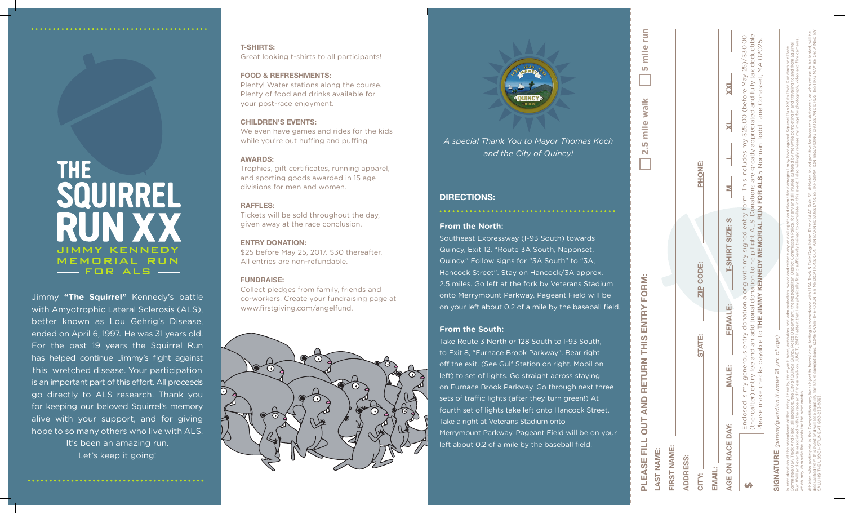### **From the North:**

Southeast Expressway (I-93 South) towards Quincy, Exit 12, "Route 3A South, Neponset, Quincy." Follow signs for "3A South" to "3A, Hancock Street". Stay on Hancock/3A approx. 2.5 miles. Go left at the fork by Veterans Stadium onto Merrymount Parkway. Pageant Field will be on your left about 0.2 of a mile by the baseball field.

# **From the South:**

Take Route 3 North or 128 South to I-93 South, to Exit 8, "Furnace Brook Parkway". Bear right off the exit. (See Gulf Station on right. Mobil on left) to set of lights. Go straight across staying on Furnace Brook Parkway. Go through next three sets of traffic lights (after they turn green!) At fourth set of lights take left onto Hancock Street. Take a right at Veterans Stadium onto Merrymount Parkway. Pageant Field will be on your left about 0.2 of a mile by the baseball field.

# **DIRECTIONS:**

CALLING THE USOC HOTLINE AT 800-233-0393.

|                                                    |                                                                                                                                                       | PLEASE FILL OUT AND RETURN THIS ENTRY FORM: |                  | <b>Smilerun</b><br>2.5 mile walk                                                                                                                                                                                                                                                                                                                                                                                                                                                                                                                                         |
|----------------------------------------------------|-------------------------------------------------------------------------------------------------------------------------------------------------------|---------------------------------------------|------------------|--------------------------------------------------------------------------------------------------------------------------------------------------------------------------------------------------------------------------------------------------------------------------------------------------------------------------------------------------------------------------------------------------------------------------------------------------------------------------------------------------------------------------------------------------------------------------|
| LAST NAME:                                         |                                                                                                                                                       |                                             |                  |                                                                                                                                                                                                                                                                                                                                                                                                                                                                                                                                                                          |
| FIRST NAME:                                        |                                                                                                                                                       |                                             |                  |                                                                                                                                                                                                                                                                                                                                                                                                                                                                                                                                                                          |
| <b>ADDRESS:</b>                                    |                                                                                                                                                       |                                             |                  |                                                                                                                                                                                                                                                                                                                                                                                                                                                                                                                                                                          |
| <b>CITY:</b>                                       |                                                                                                                                                       | <b>STATE:</b>                               | <b>ZIP CODE:</b> | PHONE:                                                                                                                                                                                                                                                                                                                                                                                                                                                                                                                                                                   |
| <b>EMAIL:</b>                                      |                                                                                                                                                       |                                             |                  |                                                                                                                                                                                                                                                                                                                                                                                                                                                                                                                                                                          |
| AGE ON RACE DAY:                                   | <b>MALE:</b>                                                                                                                                          | FEMALE:                                     | T-SHIRT SIZE: S  |                                                                                                                                                                                                                                                                                                                                                                                                                                                                                                                                                                          |
| H                                                  | Enclosed is my generous                                                                                                                               |                                             |                  | (thereafter) entry fee and an additional donation to help fight ALS. Donations are greatly appreciated and fully tax deductible.<br>entry donation along with my signed entry form. This includes my \$25.00 (before May 25/\$30.00<br>Please make checks payable to THE JIMMY KENNEDY MEMORIAL RUN FOR ALS 5 Norman Todd Lane Cohasset, MA 02025.                                                                                                                                                                                                                       |
|                                                    | SIGNATURE (parent/guardian if under 18 yrs. of age)                                                                                                   |                                             |                  |                                                                                                                                                                                                                                                                                                                                                                                                                                                                                                                                                                          |
| which may chronicle the events for the news media. | Run XVIII and events associated with the race and fitness walk on JUNE 11<br>Committee, USA Track And Field, all sponsors, the City of Quincy, Quincy |                                             |                  | 2017. I attest that I am physically fit and sufficiently trained to complete in this event. I also willingly release my image for photograph, video and film cameras,<br>Police Department, the Metropolitan District Commission Police, for any and all injuries suffered by me while competing in and traveling to and from Squirrel<br>In consideration of the acceptance of this entry. I hereby, for myself, heirs, executors and administrators, waive and release any and all rights and claims for damages I may have against Squirrel Run XV, its Race Director |
|                                                    |                                                                                                                                                       |                                             |                  | disqualified from this event and will lose eligibility for future competitions. SOME COME CVSER MEDICATIONS CONTARING BANNER MEDICATIONS CORRATION REGARDING DRUGS AND DRUG TESTING MAY BE OBTAINED BY<br>Athletes who participate in this Competition may be subject to formal orug testing in accordance with USA Track & Field Regulation 10 and IAAF Rule 55. Athletes found positive for banned substances, or who refuse to be tes                                                                                                                                 |

# THE<br>SQUIRREL **RUN XX JIMMY KENNEDY MEMORIAL RUN IMPLE DR ALS**

Jimmy **"The Squirrel"** Kennedy's battle with Amyotrophic Lateral Sclerosis (ALS), better known as Lou Gehrig's Disease, ended on April 6, 1997. He was 31 years old. For the past 19 years the Squirrel Run has helped continue Jimmy's fight against this wretched disease. Your participation is an important part of this effort. All proceeds go directly to ALS research. Thank you for keeping our beloved Squirrel's memory alive with your support, and for giving hope to so many others who live with ALS. It's been an amazing run.

Let's keep it going!

*A special Thank You to Mayor Thomas Koch and the City of Quincy!*

# **T-SHIRTS:**

Great looking t-shirts to all participants!

### **FOOD & REFRESHMENTS:**

Plenty! Water stations along the course. Plenty of food and drinks available for your post-race enjoyment.

# **CHILDREN'S EVENTS:**

We even have games and rides for the kids while you're out huffing and puffing.

# **AWARDS:**

Trophies, gift certificates, running apparel, and sporting goods awarded in 15 age divisions for men and women.

# **RAFFLES:**

Tickets will be sold throughout the day, given away at the race conclusion.

# **ENTRY DONATION:**

\$25 before May 25, 2017. \$30 thereafter. All entries are non-refundable.

## **FUNDRAISE:**

Collect pledges from family, friends and co-workers. Create your fundraising page at www.firstgiving.com/angelfund.